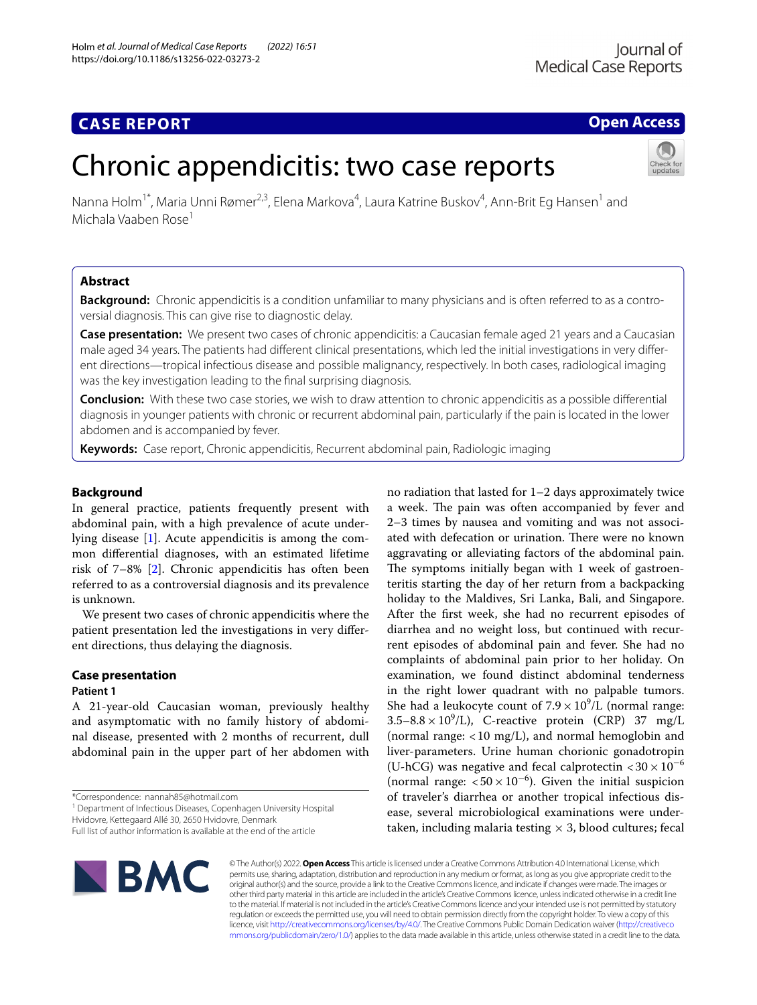# **CASE REPORT**

## **Open Access**

# Chronic appendicitis: two case reports

Nanna Holm<sup>1\*</sup>, Maria Unni Rømer<sup>2,3</sup>, Elena Markova<sup>4</sup>, Laura Katrine Buskov<sup>4</sup>, Ann-Brit Eg Hansen<sup>1</sup> and Michala Vaaben Rose1

## **Abstract**

**Background:** Chronic appendicitis is a condition unfamiliar to many physicians and is often referred to as a controversial diagnosis. This can give rise to diagnostic delay.

**Case presentation:** We present two cases of chronic appendicitis: a Caucasian female aged 21 years and a Caucasian male aged 34 years. The patients had different clinical presentations, which led the initial investigations in very different directions—tropical infectious disease and possible malignancy, respectively. In both cases, radiological imaging was the key investigation leading to the fnal surprising diagnosis.

**Conclusion:** With these two case stories, we wish to draw attention to chronic appendicitis as a possible diferential diagnosis in younger patients with chronic or recurrent abdominal pain, particularly if the pain is located in the lower abdomen and is accompanied by fever.

**Keywords:** Case report, Chronic appendicitis, Recurrent abdominal pain, Radiologic imaging

## **Background**

In general practice, patients frequently present with abdominal pain, with a high prevalence of acute underlying disease [\[1\]](#page-3-0). Acute appendicitis is among the common diferential diagnoses, with an estimated lifetime risk of 7–8% [\[2](#page-3-1)]. Chronic appendicitis has often been referred to as a controversial diagnosis and its prevalence is unknown.

We present two cases of chronic appendicitis where the patient presentation led the investigations in very diferent directions, thus delaying the diagnosis.

## **Case presentation**

### **Patient 1**

A 21-year-old Caucasian woman, previously healthy and asymptomatic with no family history of abdominal disease, presented with 2 months of recurrent, dull abdominal pain in the upper part of her abdomen with

\*Correspondence: nannah85@hotmail.com

<sup>1</sup> Department of Infectious Diseases, Copenhagen University Hospital Hvidovre, Kettegaard Allé 30, 2650 Hvidovre, Denmark

Full list of author information is available at the end of the article

no radiation that lasted for 1–2 days approximately twice a week. The pain was often accompanied by fever and 2–3 times by nausea and vomiting and was not associated with defecation or urination. There were no known aggravating or alleviating factors of the abdominal pain. The symptoms initially began with 1 week of gastroenteritis starting the day of her return from a backpacking holiday to the Maldives, Sri Lanka, Bali, and Singapore. After the frst week, she had no recurrent episodes of diarrhea and no weight loss, but continued with recurrent episodes of abdominal pain and fever. She had no complaints of abdominal pain prior to her holiday. On examination, we found distinct abdominal tenderness in the right lower quadrant with no palpable tumors. She had a leukocyte count of  $7.9 \times 10^9$ /L (normal range:  $3.5-8.8 \times 10^9$ /L), C-reactive protein (CRP) 37 mg/L (normal range:  $< 10$  mg/L), and normal hemoglobin and liver-parameters. Urine human chorionic gonadotropin (U-hCG) was negative and fecal calprotectin  $\langle 30 \times 10^{-6} \rangle$ (normal range:  $< 50 \times 10^{-6}$ ). Given the initial suspicion of traveler's diarrhea or another tropical infectious disease, several microbiological examinations were undertaken, including malaria testing  $\times$  3, blood cultures; fecal



© The Author(s) 2022. **Open Access** This article is licensed under a Creative Commons Attribution 4.0 International License, which permits use, sharing, adaptation, distribution and reproduction in any medium or format, as long as you give appropriate credit to the original author(s) and the source, provide a link to the Creative Commons licence, and indicate if changes were made. The images or other third party material in this article are included in the article's Creative Commons licence, unless indicated otherwise in a credit line to the material. If material is not included in the article's Creative Commons licence and your intended use is not permitted by statutory regulation or exceeds the permitted use, you will need to obtain permission directly from the copyright holder. To view a copy of this licence, visit [http://creativecommons.org/licenses/by/4.0/.](http://creativecommons.org/licenses/by/4.0/) The Creative Commons Public Domain Dedication waiver ([http://creativeco](http://creativecommons.org/publicdomain/zero/1.0/) [mmons.org/publicdomain/zero/1.0/](http://creativecommons.org/publicdomain/zero/1.0/)) applies to the data made available in this article, unless otherwise stated in a credit line to the data.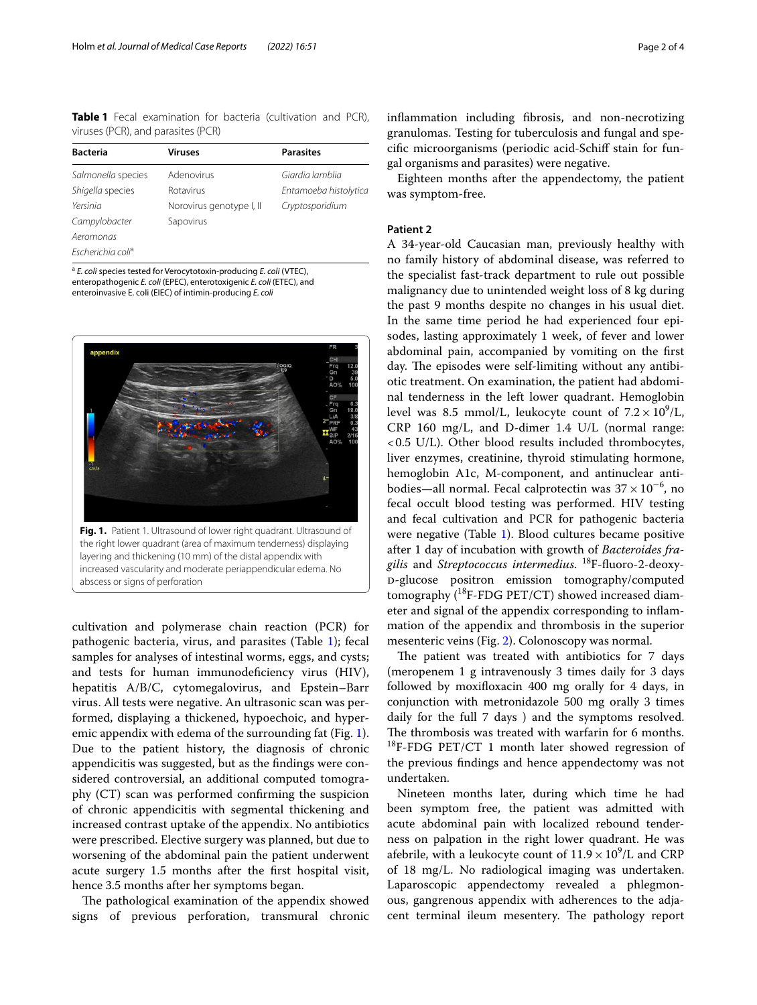<span id="page-1-0"></span>**Table 1** Fecal examination for bacteria (cultivation and PCR), viruses (PCR), and parasites (PCR)

| <b>Bacteria</b>               | Viruses                  | <b>Parasites</b>      |
|-------------------------------|--------------------------|-----------------------|
| Salmonella species            | Adenovirus               | Giardia lamblia       |
| Shigella species              | <b>Rotavirus</b>         | Entamoeba histolytica |
| Yersinia                      | Norovirus genotype I, II | Cryptosporidium       |
| Campylobacter                 | Sapovirus                |                       |
| Aeromonas                     |                          |                       |
| Escherichia coli <sup>a</sup> |                          |                       |

<sup>a</sup> *E. coli* species tested for Verocytotoxin-producing *E. coli* (VTEC), enteropathogenic *E. coli* (EPEC), enterotoxigenic *E. coli* (ETEC), and enteroinvasive E. coli (EIEC) of intimin-producing *E. coli*



<span id="page-1-1"></span>cultivation and polymerase chain reaction (PCR) for pathogenic bacteria, virus, and parasites (Table [1\)](#page-1-0); fecal samples for analyses of intestinal worms, eggs, and cysts; and tests for human immunodeficiency virus (HIV), hepatitis A/B/C, cytomegalovirus, and Epstein–Barr virus. All tests were negative. An ultrasonic scan was performed, displaying a thickened, hypoechoic, and hyperemic appendix with edema of the surrounding fat (Fig. [1](#page-1-1)). Due to the patient history, the diagnosis of chronic appendicitis was suggested, but as the fndings were considered controversial, an additional computed tomography (CT) scan was performed confrming the suspicion of chronic appendicitis with segmental thickening and increased contrast uptake of the appendix. No antibiotics were prescribed. Elective surgery was planned, but due to worsening of the abdominal pain the patient underwent acute surgery 1.5 months after the frst hospital visit, hence 3.5 months after her symptoms began.

The pathological examination of the appendix showed signs of previous perforation, transmural chronic infammation including fbrosis, and non-necrotizing granulomas. Testing for tuberculosis and fungal and specifc microorganisms (periodic acid-Schif stain for fungal organisms and parasites) were negative.

Eighteen months after the appendectomy, the patient was symptom-free.

## **Patient 2**

A 34-year-old Caucasian man, previously healthy with no family history of abdominal disease, was referred to the specialist fast-track department to rule out possible malignancy due to unintended weight loss of 8 kg during the past 9 months despite no changes in his usual diet. In the same time period he had experienced four episodes, lasting approximately 1 week, of fever and lower abdominal pain, accompanied by vomiting on the frst day. The episodes were self-limiting without any antibiotic treatment. On examination, the patient had abdominal tenderness in the left lower quadrant. Hemoglobin level was 8.5 mmol/L, leukocyte count of  $7.2 \times 10^9$ /L, CRP 160 mg/L, and D-dimer 1.4 U/L (normal range: <0.5 U/L). Other blood results included thrombocytes, liver enzymes, creatinine, thyroid stimulating hormone, hemoglobin A1c, M-component, and antinuclear antibodies—all normal. Fecal calprotectin was  $37 \times 10^{-6}$ , no fecal occult blood testing was performed. HIV testing and fecal cultivation and PCR for pathogenic bacteria were negative (Table [1\)](#page-1-0). Blood cultures became positive after 1 day of incubation with growth of *Bacteroides fragilis* and *Streptococcus intermedius*. 18F-fuoro-2-deoxyd-glucose positron emission tomography/computed tomography  $(^{18}F-FDG$  PET/CT) showed increased diameter and signal of the appendix corresponding to infammation of the appendix and thrombosis in the superior mesenteric veins (Fig. [2](#page-2-0)). Colonoscopy was normal.

The patient was treated with antibiotics for 7 days (meropenem 1 g intravenously 3 times daily for 3 days followed by moxifoxacin 400 mg orally for 4 days, in conjunction with metronidazole 500 mg orally 3 times daily for the full 7 days ) and the symptoms resolved. The thrombosis was treated with warfarin for 6 months.  $^{18}$ F-FDG PET/CT 1 month later showed regression of the previous fndings and hence appendectomy was not undertaken.

Nineteen months later, during which time he had been symptom free, the patient was admitted with acute abdominal pain with localized rebound tenderness on palpation in the right lower quadrant. He was afebrile, with a leukocyte count of  $11.9 \times 10^9$ /L and CRP of 18 mg/L. No radiological imaging was undertaken. Laparoscopic appendectomy revealed a phlegmonous, gangrenous appendix with adherences to the adjacent terminal ileum mesentery. The pathology report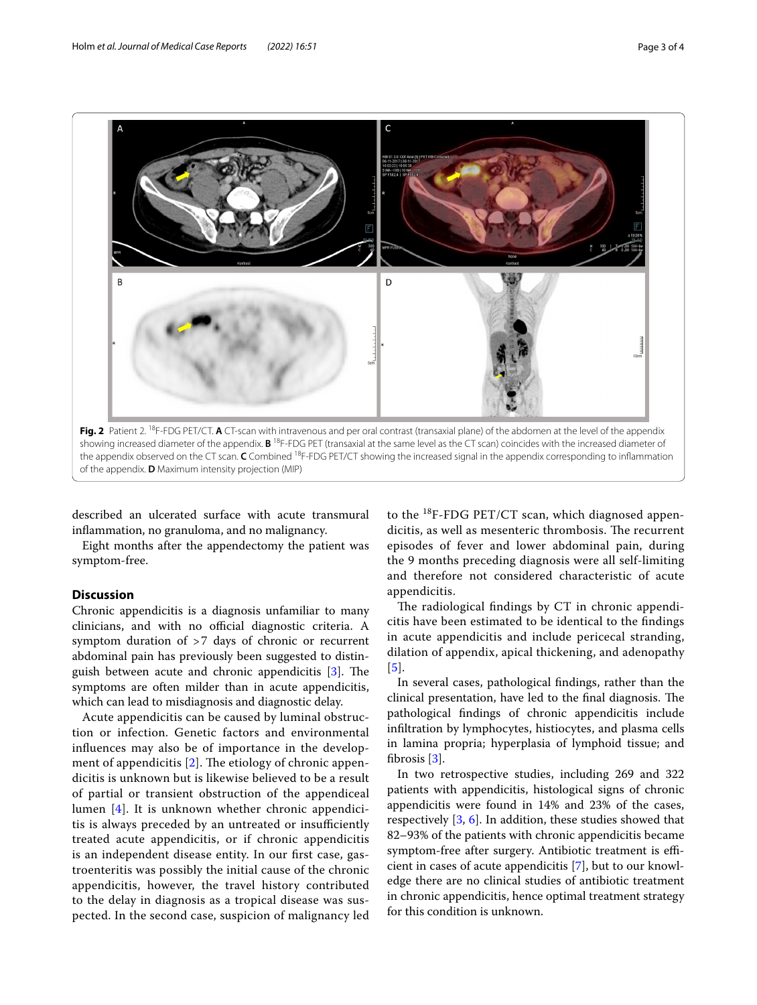

<span id="page-2-0"></span>described an ulcerated surface with acute transmural infammation, no granuloma, and no malignancy.

Eight months after the appendectomy the patient was symptom-free.

## **Discussion**

Chronic appendicitis is a diagnosis unfamiliar to many clinicians, and with no official diagnostic criteria. A symptom duration of >7 days of chronic or recurrent abdominal pain has previously been suggested to distinguish between acute and chronic appendicitis  $[3]$  $[3]$ . The symptoms are often milder than in acute appendicitis, which can lead to misdiagnosis and diagnostic delay.

Acute appendicitis can be caused by luminal obstruction or infection. Genetic factors and environmental infuences may also be of importance in the development of appendicitis  $[2]$  $[2]$ . The etiology of chronic appendicitis is unknown but is likewise believed to be a result of partial or transient obstruction of the appendiceal lumen [[4\]](#page-3-3). It is unknown whether chronic appendicitis is always preceded by an untreated or insufficiently treated acute appendicitis, or if chronic appendicitis is an independent disease entity. In our frst case, gastroenteritis was possibly the initial cause of the chronic appendicitis, however, the travel history contributed to the delay in diagnosis as a tropical disease was suspected. In the second case, suspicion of malignancy led to the  $^{18}$ F-FDG PET/CT scan, which diagnosed appendicitis, as well as mesenteric thrombosis. The recurrent episodes of fever and lower abdominal pain, during the 9 months preceding diagnosis were all self-limiting and therefore not considered characteristic of acute appendicitis.

The radiological findings by CT in chronic appendicitis have been estimated to be identical to the fndings in acute appendicitis and include pericecal stranding, dilation of appendix, apical thickening, and adenopathy [[5](#page-3-4)].

In several cases, pathological fndings, rather than the clinical presentation, have led to the final diagnosis. The pathological fndings of chronic appendicitis include infltration by lymphocytes, histiocytes, and plasma cells in lamina propria; hyperplasia of lymphoid tissue; and fbrosis [[3\]](#page-3-2).

In two retrospective studies, including 269 and 322 patients with appendicitis, histological signs of chronic appendicitis were found in 14% and 23% of the cases, respectively [\[3](#page-3-2), [6\]](#page-3-5). In addition, these studies showed that 82–93% of the patients with chronic appendicitis became symptom-free after surgery. Antibiotic treatment is efficient in cases of acute appendicitis [[7\]](#page-3-6), but to our knowledge there are no clinical studies of antibiotic treatment in chronic appendicitis, hence optimal treatment strategy for this condition is unknown.